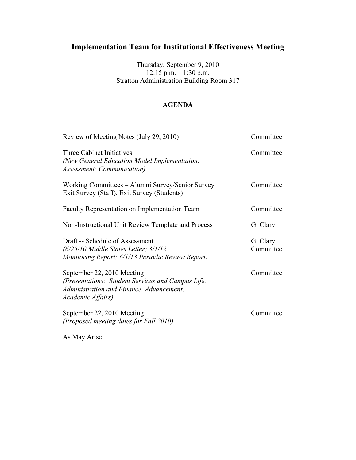Thursday, September 9, 2010 12:15 p.m. – 1:30 p.m. Stratton Administration Building Room 317

### **AGENDA**

| Review of Meeting Notes (July 29, 2010)                                                                                                          | Committee             |
|--------------------------------------------------------------------------------------------------------------------------------------------------|-----------------------|
| Three Cabinet Initiatives<br>(New General Education Model Implementation;<br>Assessment; Communication)                                          | Committee             |
| Working Committees – Alumni Survey/Senior Survey<br>Exit Survey (Staff), Exit Survey (Students)                                                  | Committee             |
| Faculty Representation on Implementation Team                                                                                                    | Committee             |
| Non-Instructional Unit Review Template and Process                                                                                               | G. Clary              |
| Draft -- Schedule of Assessment<br>$(6/25/10$ Middle States Letter; $3/1/12$<br>Monitoring Report; 6/1/13 Periodic Review Report)                | G. Clary<br>Committee |
| September 22, 2010 Meeting<br>(Presentations: Student Services and Campus Life,<br>Administration and Finance, Advancement,<br>Academic Affairs) | Committee             |
| September 22, 2010 Meeting<br>(Proposed meeting dates for Fall 2010)                                                                             | Committee             |

As May Arise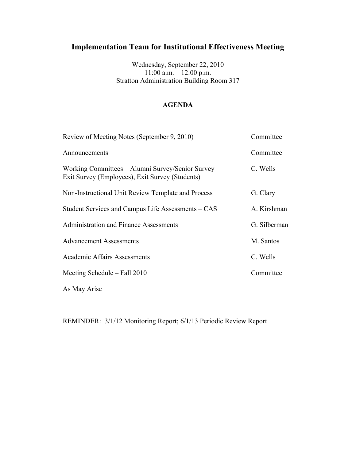Wednesday, September 22, 2010 11:00 a.m. – 12:00 p.m. Stratton Administration Building Room 317

### **AGENDA**

| Review of Meeting Notes (September 9, 2010)                                                         | Committee    |
|-----------------------------------------------------------------------------------------------------|--------------|
| Announcements                                                                                       | Committee    |
| Working Committees – Alumni Survey/Senior Survey<br>Exit Survey (Employees), Exit Survey (Students) | C. Wells     |
| Non-Instructional Unit Review Template and Process                                                  | G. Clary     |
| Student Services and Campus Life Assessments – CAS                                                  | A. Kirshman  |
| Administration and Finance Assessments                                                              | G. Silberman |
| <b>Advancement Assessments</b>                                                                      | M. Santos    |
| <b>Academic Affairs Assessments</b>                                                                 | C. Wells     |
| Meeting Schedule $-$ Fall 2010                                                                      | Committee    |
| As May Arise                                                                                        |              |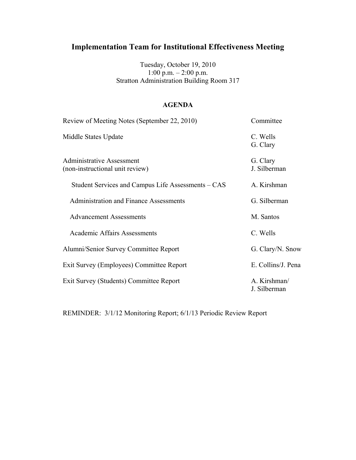Tuesday, October 19, 2010 1:00 p.m. – 2:00 p.m. Stratton Administration Building Room 317

### **AGENDA**

| Review of Meeting Notes (September 22, 2010)                        | Committee                    |
|---------------------------------------------------------------------|------------------------------|
| Middle States Update                                                | C. Wells<br>G. Clary         |
| <b>Administrative Assessment</b><br>(non-instructional unit review) | G. Clary<br>J. Silberman     |
| Student Services and Campus Life Assessments – CAS                  | A. Kirshman                  |
| <b>Administration and Finance Assessments</b>                       | G. Silberman                 |
| <b>Advancement Assessments</b>                                      | M. Santos                    |
| <b>Academic Affairs Assessments</b>                                 | C. Wells                     |
| Alumni/Senior Survey Committee Report                               | G. Clary/N. Snow             |
| Exit Survey (Employees) Committee Report                            | E. Collins/J. Pena           |
| Exit Survey (Students) Committee Report                             | A. Kirshman/<br>J. Silberman |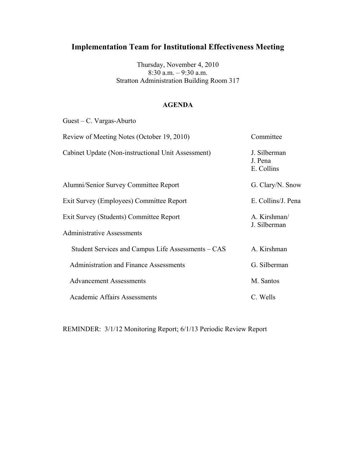Thursday, November 4, 2010 8:30 a.m. – 9:30 a.m. Stratton Administration Building Room 317

### **AGENDA**

| Guest – C. Vargas-Aburto                           |                                       |
|----------------------------------------------------|---------------------------------------|
| Review of Meeting Notes (October 19, 2010)         | Committee                             |
| Cabinet Update (Non-instructional Unit Assessment) | J. Silberman<br>J. Pena<br>E. Collins |
| Alumni/Senior Survey Committee Report              | G. Clary/N. Snow                      |
| Exit Survey (Employees) Committee Report           | E. Collins/J. Pena                    |
| Exit Survey (Students) Committee Report            | A. Kirshman/                          |
| <b>Administrative Assessments</b>                  | J. Silberman                          |
| Student Services and Campus Life Assessments – CAS | A. Kirshman                           |
| <b>Administration and Finance Assessments</b>      | G. Silberman                          |
| <b>Advancement Assessments</b>                     | M. Santos                             |
| <b>Academic Affairs Assessments</b>                | C. Wells                              |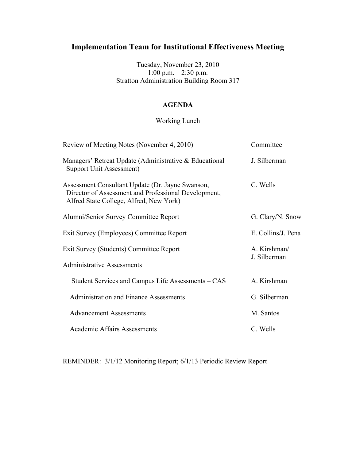Tuesday, November 23, 2010 1:00 p.m. – 2:30 p.m. Stratton Administration Building Room 317

### **AGENDA**

### Working Lunch

| Review of Meeting Notes (November 4, 2010)                                                                                                          | Committee                    |
|-----------------------------------------------------------------------------------------------------------------------------------------------------|------------------------------|
| Managers' Retreat Update (Administrative & Educational<br>Support Unit Assessment)                                                                  | J. Silberman                 |
| Assessment Consultant Update (Dr. Jayne Swanson,<br>Director of Assessment and Professional Development,<br>Alfred State College, Alfred, New York) | C. Wells                     |
| Alumni/Senior Survey Committee Report                                                                                                               | G. Clary/N. Snow             |
| Exit Survey (Employees) Committee Report                                                                                                            | E. Collins/J. Pena           |
| Exit Survey (Students) Committee Report                                                                                                             | A. Kirshman/<br>J. Silberman |
| <b>Administrative Assessments</b>                                                                                                                   |                              |
| Student Services and Campus Life Assessments – CAS                                                                                                  | A. Kirshman                  |
| <b>Administration and Finance Assessments</b>                                                                                                       | G. Silberman                 |
| <b>Advancement Assessments</b>                                                                                                                      | M. Santos                    |
| Academic Affairs Assessments                                                                                                                        | C. Wells                     |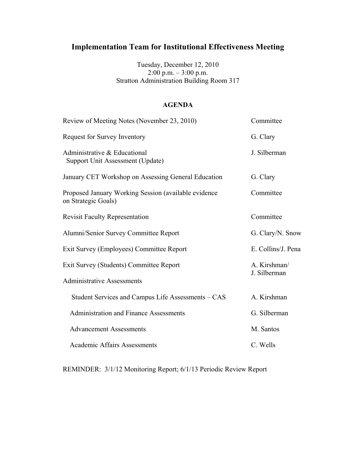Tuesday, December 12, 2010 2:00 p.m. – 3:00 p.m. Stratton Administration Building Room 317

#### **AGENDA**

| Review of Meeting Notes (November 23, 2010)                                 | Committee          |
|-----------------------------------------------------------------------------|--------------------|
| Request for Survey Inventory                                                | G. Clary           |
| Administrative & Educational<br>Support Unit Assessment (Update)            | J. Silberman       |
| January CET Workshop on Assessing General Education                         | G. Clary           |
| Proposed January Working Session (available evidence<br>on Strategic Goals) | Committee          |
| <b>Revisit Faculty Representation</b>                                       | Committee          |
| Alumni/Senior Survey Committee Report                                       | G. Clary/N. Snow   |
| Exit Survey (Employees) Committee Report                                    | E. Collins/J. Pena |
| Exit Survey (Students) Committee Report                                     | A. Kirshman/       |
| <b>Administrative Assessments</b>                                           | J. Silberman       |
| Student Services and Campus Life Assessments – CAS                          | A. Kirshman        |
| <b>Administration and Finance Assessments</b>                               | G. Silberman       |
| <b>Advancement Assessments</b>                                              | M. Santos          |
| <b>Academic Affairs Assessments</b>                                         | C. Wells           |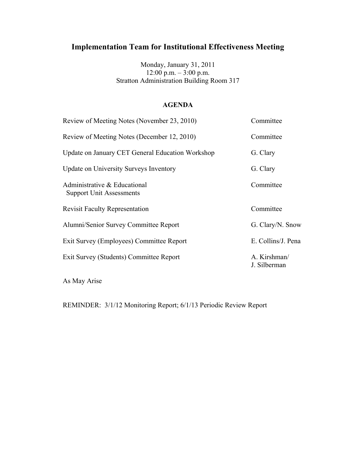Monday, January 31, 2011 12:00 p.m. – 3:00 p.m. Stratton Administration Building Room 317

#### **AGENDA**

| Review of Meeting Notes (November 23, 2010)                     | Committee                    |
|-----------------------------------------------------------------|------------------------------|
| Review of Meeting Notes (December 12, 2010)                     | Committee                    |
| Update on January CET General Education Workshop                | G. Clary                     |
| <b>Update on University Surveys Inventory</b>                   | G. Clary                     |
| Administrative & Educational<br><b>Support Unit Assessments</b> | Committee                    |
| <b>Revisit Faculty Representation</b>                           | Committee                    |
| Alumni/Senior Survey Committee Report                           | G. Clary/N. Snow             |
| Exit Survey (Employees) Committee Report                        | E. Collins/J. Pena           |
| Exit Survey (Students) Committee Report                         | A. Kirshman/<br>J. Silberman |

As May Arise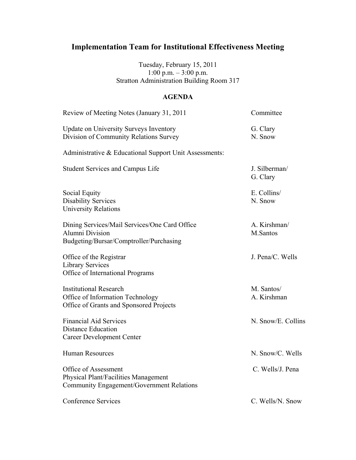Tuesday, February 15, 2011 1:00 p.m. – 3:00 p.m. Stratton Administration Building Room 317

## **AGENDA**

| Review of Meeting Notes (January 31, 2011                                                                          | Committee                 |
|--------------------------------------------------------------------------------------------------------------------|---------------------------|
| <b>Update on University Surveys Inventory</b><br>Division of Community Relations Survey                            | G. Clary<br>N. Snow       |
| Administrative & Educational Support Unit Assessments:                                                             |                           |
| <b>Student Services and Campus Life</b>                                                                            | J. Silberman/<br>G. Clary |
| <b>Social Equity</b><br><b>Disability Services</b><br><b>University Relations</b>                                  | E. Collins/<br>N. Snow    |
| Dining Services/Mail Services/One Card Office<br><b>Alumni Division</b><br>Budgeting/Bursar/Comptroller/Purchasing | A. Kirshman/<br>M.Santos  |
| Office of the Registrar<br><b>Library Services</b><br>Office of International Programs                             | J. Pena/C. Wells          |
| <b>Institutional Research</b><br>Office of Information Technology<br>Office of Grants and Sponsored Projects       | M. Santos/<br>A. Kirshman |
| <b>Financial Aid Services</b><br>Distance Education<br><b>Career Development Center</b>                            | N. Snow/E. Collins        |
| <b>Human Resources</b>                                                                                             | N. Snow/C. Wells          |
| Office of Assessment<br>Physical Plant/Facilities Management<br>Community Engagement/Government Relations          | C. Wells/J. Pena          |
| <b>Conference Services</b>                                                                                         | C. Wells/N. Snow          |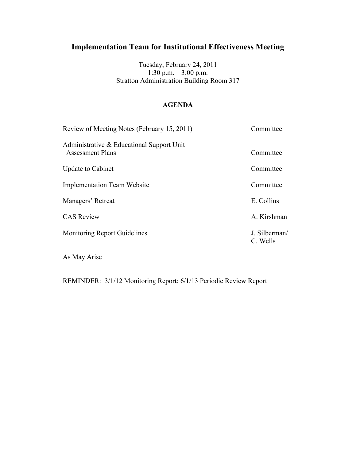Tuesday, February 24, 2011 1:30 p.m. – 3:00 p.m. Stratton Administration Building Room 317

### **AGENDA**

| Review of Meeting Notes (February 15, 2011)                          | Committee                 |
|----------------------------------------------------------------------|---------------------------|
| Administrative & Educational Support Unit<br><b>Assessment Plans</b> | Committee                 |
| <b>Update to Cabinet</b>                                             | Committee                 |
| <b>Implementation Team Website</b>                                   | Committee                 |
| Managers' Retreat                                                    | E. Collins                |
| <b>CAS Review</b>                                                    | A. Kirshman               |
| <b>Monitoring Report Guidelines</b>                                  | J. Silberman/<br>C. Wells |

As May Arise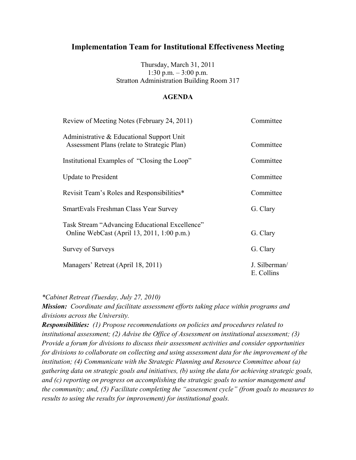Thursday, March 31, 2011 1:30 p.m. – 3:00 p.m. Stratton Administration Building Room 317

### **AGENDA**

| Review of Meeting Notes (February 24, 2011)                                                  | Committee                   |
|----------------------------------------------------------------------------------------------|-----------------------------|
| Administrative & Educational Support Unit<br>Assessment Plans (relate to Strategic Plan)     | Committee                   |
| Institutional Examples of "Closing the Loop"                                                 | Committee                   |
| <b>Update to President</b>                                                                   | Committee                   |
| Revisit Team's Roles and Responsibilities*                                                   | Committee                   |
| SmartEvals Freshman Class Year Survey                                                        | G. Clary                    |
| Task Stream "Advancing Educational Excellence"<br>Online WebCast (April 13, 2011, 1:00 p.m.) | G. Clary                    |
| Survey of Surveys                                                                            | G. Clary                    |
| Managers' Retreat (April 18, 2011)                                                           | J. Silberman/<br>E. Collins |

*\*Cabinet Retreat (Tuesday, July 27, 2010)*

*Mission: Coordinate and facilitate assessment efforts taking place within programs and divisions across the University.*

*Responsibilities: (1) Propose recommendations on policies and procedures related to institutional assessment; (2) Advise the Office of Assessment on institutional assessment; (3) Provide a forum for divisions to discuss their assessment activities and consider opportunities for divisions to collaborate on collecting and using assessment data for the improvement of the institution; (4) Communicate with the Strategic Planning and Resource Committee about (a) gathering data on strategic goals and initiatives, (b) using the data for achieving strategic goals, and (c) reporting on progress on accomplishing the strategic goals to senior management and the community; and, (5) Facilitate completing the "assessment cycle" (from goals to measures to results to using the results for improvement) for institutional goals.*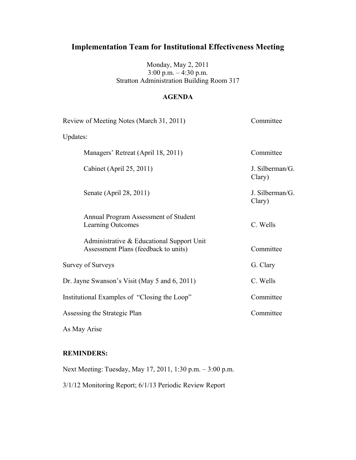Monday, May 2, 2011 3:00 p.m. – 4:30 p.m. Stratton Administration Building Room 317

### **AGENDA**

| Review of Meeting Notes (March 31, 2011)                                          | Committee                 |
|-----------------------------------------------------------------------------------|---------------------------|
| Updates:                                                                          |                           |
| Managers' Retreat (April 18, 2011)                                                | Committee                 |
| Cabinet (April 25, 2011)                                                          | J. Silberman/G.<br>Clary) |
| Senate (April 28, 2011)                                                           | J. Silberman/G.<br>Clary) |
| Annual Program Assessment of Student<br>Learning Outcomes                         | C. Wells                  |
| Administrative & Educational Support Unit<br>Assessment Plans (feedback to units) | Committee                 |
| Survey of Surveys                                                                 | G. Clary                  |
| Dr. Jayne Swanson's Visit (May 5 and 6, 2011)                                     | C. Wells                  |
| Institutional Examples of "Closing the Loop"                                      | Committee                 |
| Assessing the Strategic Plan                                                      | Committee                 |
| As May Arise                                                                      |                           |

### **REMINDERS:**

Next Meeting: Tuesday, May 17, 2011, 1:30 p.m. – 3:00 p.m. 3/1/12 Monitoring Report; 6/1/13 Periodic Review Report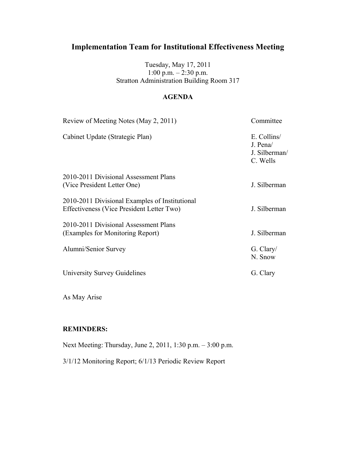Tuesday, May 17, 2011 1:00 p.m. – 2:30 p.m. Stratton Administration Building Room 317

### **AGENDA**

| Review of Meeting Notes (May 2, 2011)          | Committee                                            |
|------------------------------------------------|------------------------------------------------------|
| Cabinet Update (Strategic Plan)                | E. Collins/<br>J. Pena/<br>J. Silberman/<br>C. Wells |
| 2010-2011 Divisional Assessment Plans          |                                                      |
| (Vice President Letter One)                    | J. Silberman                                         |
| 2010-2011 Divisional Examples of Institutional |                                                      |
| Effectiveness (Vice President Letter Two)      | J. Silberman                                         |
| 2010-2011 Divisional Assessment Plans          |                                                      |
| (Examples for Monitoring Report)               | J. Silberman                                         |
| Alumni/Senior Survey                           | G. Clary/<br>N. Snow                                 |
| University Survey Guidelines                   | G. Clary                                             |
|                                                |                                                      |

As May Arise

### **REMINDERS:**

Next Meeting: Thursday, June 2, 2011, 1:30 p.m. – 3:00 p.m.